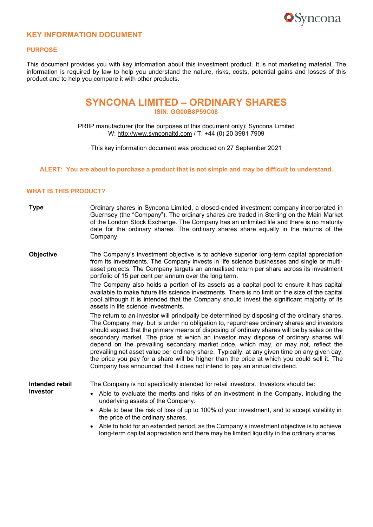

## **KEY INFORMATION DOCUMENT**

#### **PURPOSE**

This document provides you with key information about this investment product. It is not marketing material. The information is required by law to help you understand the nature, risks, costs, potential gains and losses of this product and to help you compare it with other products.

# **SYNCONA LIMITED – ORDINARY SHARES ISIN: GG00B8P59C08**

PRIIP manufacturer (for the purposes of this document only): Syncona Limited W: [http://www.synconaltd.com](http://www.synconaltd.com/) / T: +44 (0) 20 3981 7909

This key information document was produced on 27 September 2021

#### **ALERT: You are about to purchase a product that is not simple and may be difficult to understand.**

### **WHAT IS THIS PRODUCT?**

- **Type Combinary shares in Syncona Limited, a closed-ended investment company incorporated in** Guernsey (the "Company"). The ordinary shares are traded in Sterling on the Main Market of the London Stock Exchange. The Company has an unlimited life and there is no maturity date for the ordinary shares. The ordinary shares share equally in the returns of the Company.
- **Objective** The Company's investment objective is to achieve superior long-term capital appreciation from its investments. The Company invests in life science businesses and single or multiasset projects. The Company targets an annualised return per share across its investment portfolio of 15 per cent per annum over the long term.

The Company also holds a portion of its assets as a capital pool to ensure it has capital available to make future life science investments. There is no limit on the size of the capital pool although it is intended that the Company should invest the significant majority of its assets in life science investments.

The return to an investor will principally be determined by disposing of the ordinary shares. The Company may, but is under no obligation to, repurchase ordinary shares and investors should expect that the primary means of disposing of ordinary shares will be by sales on the secondary market. The price at which an investor may dispose of ordinary shares will depend on the prevailing secondary market price, which may, or may not, reflect the prevailing net asset value per ordinary share. Typically, at any given time on any given day, the price you pay for a share will be higher than the price at which you could sell it. The Company has announced that it does not intend to pay an annual dividend.

**Intended retail investor**

The Company is not specifically intended for retail investors. Investors should be:

- Able to evaluate the merits and risks of an investment in the Company, including the underlying assets of the Company.
- Able to bear the risk of loss of up to 100% of your investment, and to accept volatility in the price of the ordinary shares.
- Able to hold for an extended period, as the Company's investment objective is to achieve long-term capital appreciation and there may be limited liquidity in the ordinary shares.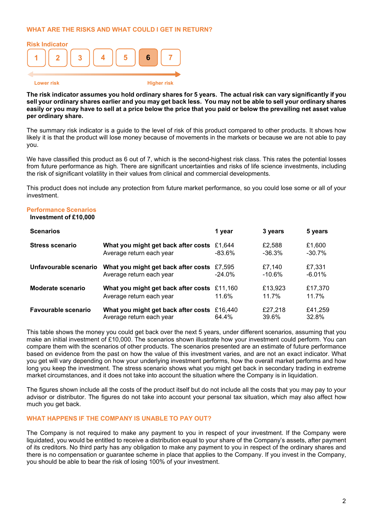### **WHAT ARE THE RISKS AND WHAT COULD I GET IN RETURN?**



The risk indicator assumes you hold ordinary shares for 5 years. The actual risk can vary significantly if you sell your ordinary shares earlier and you may get back less. You may not be able to sell your ordinary shares easily or you may have to sell at a price below the price that you paid or below the prevailing net asset value **per ordinary share.**

The summary risk indicator is a guide to the level of risk of this product compared to other products. It shows how likely it is that the product will lose money because of movements in the markets or because we are not able to pay you.

We have classified this product as 6 out of 7, which is the second-highest risk class. This rates the potential losses from future performance as high. There are significant uncertainties and risks of life science investments, including the risk of significant volatility in their values from clinical and commercial developments.

This product does not include any protection from future market performance, so you could lose some or all of your investment.

### **Performance Scenarios**

### **Investment of £10,000**

| <b>Scenarios</b>           |                                     | 1 year   | 3 years  | 5 years  |
|----------------------------|-------------------------------------|----------|----------|----------|
| <b>Stress scenario</b>     | What you might get back after costs | £1.644   | £2.588   | £1,600   |
|                            | Average return each year            | $-83.6%$ | $-36.3%$ | $-30.7%$ |
| Unfavourable scenario      | What you might get back after costs | £7.595   | £7,140   | £7,331   |
|                            | Average return each year            | $-24.0%$ | $-10.6%$ | $-6.01%$ |
| <b>Moderate scenario</b>   | What you might get back after costs | £11.160  | £13,923  | £17,370  |
|                            | Average return each year            | 11.6%    | 11.7%    | 11.7%    |
| <b>Favourable scenario</b> | What you might get back after costs | £16.440  | £27,218  | £41,259  |
|                            | Average return each year            | 64.4%    | 39.6%    | 32.8%    |

This table shows the money you could get back over the next 5 years, under different scenarios, assuming that you make an initial investment of £10,000. The scenarios shown illustrate how your investment could perform. You can compare them with the scenarios of other products. The scenarios presented are an estimate of future performance based on evidence from the past on how the value of this investment varies, and are not an exact indicator. What you get will vary depending on how your underlying investment performs, how the overall market performs and how long you keep the investment. The stress scenario shows what you might get back in secondary trading in extreme market circumstances, and it does not take into account the situation where the Company is in liquidation.

The figures shown include all the costs of the product itself but do not include all the costs that you may pay to your advisor or distributor. The figures do not take into account your personal tax situation, which may also affect how much you get back.

### **WHAT HAPPENS IF THE COMPANY IS UNABLE TO PAY OUT?**

The Company is not required to make any payment to you in respect of your investment. If the Company were liquidated, you would be entitled to receive a distribution equal to your share of the Company's assets, after payment of its creditors. No third party has any obligation to make any payment to you in respect of the ordinary shares and there is no compensation or guarantee scheme in place that applies to the Company. If you invest in the Company, you should be able to bear the risk of losing 100% of your investment.